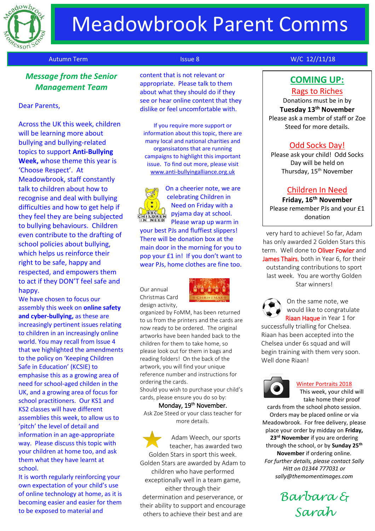

# Meadowbrook Parent Comms

## *Message from the Senior Management Team*

#### Dear Parents,

Across the UK this week, children will be learning more about bullying and bullying-related topics to support **Anti-Bullying Week,** whose theme this year is 'Choose Respect'. At Meadowbrook, staff constantly talk to children about how to recognise and deal with bullying difficulties and how to get help if they feel they are being subjected to bullying behaviours. Children even contribute to the drafting of school policies about bullying, which helps us reinforce their right to be safe, happy and respected, and empowers them to act if they DON'T feel safe and happy.

We have chosen to focus our assembly this week on **online safety and cyber-bullying,** as these are increasingly pertinent issues relating to children in an increasingly online world. You may recall from Issue 4 that we highlighted the amendments to the policy on 'Keeping Children Safe in Education' (KCSIE) to emphasise this as a growing area of need for school-aged childen in the UK, and a growing area of focus for school practitioners. Our KS1 and KS2 classes will have different assemblies this week, to allow us to 'pitch' the level of detail and information in an age-appropriate way. Please discuss this topic with your children at home too, and ask them what they have learnt at school.

It is worth regularly reinforcing your own expectation of your child's use of online technology at home, as it is becoming easier and easier for them to be exposed to material and

content that is not relevant or appropriate. Please talk to them about what they should do if they see or hear online content that they dislike or feel uncomfortable with.

If you require more support or information about this topic, there are many local and national charities and organsisatons that are running campaigns to highlight this important issue. To find out more, please visit [www.anti-bullyingalliance.org.uk](http://www.anti-bullyingalliance.org.uk/)



On a cheerier note, we are celebrating Children in Need on Friday with a pyjama day at school. Please wrap up warm in

your best PJs and fluffiest slippers! There will be donation box at the main door in the morning for you to pop your £1 in! If you don't want to wear PJs, home clothes are fine too.

Our annual Christmas Card design activity,



organized by FoMM, has been returned to us from the printers and the cards are now ready to be ordered. The original artworks have been handed back to the children for them to take home, so please look out for them in bags and reading folders! On the back of the artwork, you will find your unique reference number and instructions for ordering the cards.

Should you wish to purchase your child's cards, please ensure you do so by:

#### Monday, 19<sup>th</sup> November.

Ask Zoe Steed or your class teacher for more details.

Adam Weech, our sports teacher, has awarded two Golden Stars in sport this week. Golden Stars are awarded by Adam to children who have performed exceptionally well in a team game, either through their determination and peserverance, or their ability to support and encourage others to achieve their best and are

### Autumn Term **Issue 8** No. 2012/11/18 No. 2014 12: No. 2014 12: No. 2014 12: No. 2014 12: No. 2014 12: No. 2014

# **COMING UP:**

### Rags to Riches

Donations must be in by **Tuesday 13th November** Please ask a membr of staff or Zoe Steed for more details.

### Odd Socks Day!

Please ask your child! Odd Socks Day will be held on Thursday, 15<sup>th</sup> November

## Children In Need

**Friday, 16th November** Please remember PJs and your £1 donation

very hard to achieve! So far, Adam has only awarded 2 Golden Stars this term. Well done to **Oliver Fowler** and James Thairs, both in Year 6, for their outstanding contributions to sport last week. You are worthy Golden Star winners!



On the same note, we would like to congratulate Riaan Haque in Year 1 for

successfully trialling for Chelsea. Riaan has been accepted into the Chelsea under 6s squad and will begin training with them very soon. Well done Riaan!



#### Winter Portraits 2018

This week, your child will take home their proof

cards from the school photo session. Orders may be placed online or via Meadowbrook. For free delivery, please place your order by midday on **Friday, 23rd November** if you are ordering through the school, or by **Sunday 25th November** if ordering online. *For further details, please contact Sally Hitt on 01344 777031 or sally@themomentimages.com*

> *Barbara & Sarah*